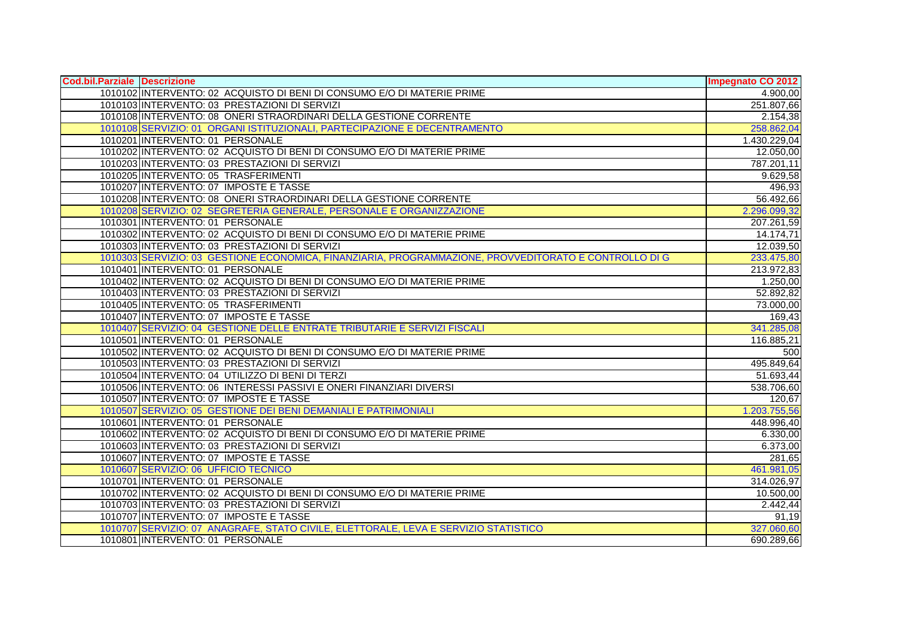| Cod.bil.Parziale Descrizione |                                                                                                       | <b>Impegnato CO 2012</b> |
|------------------------------|-------------------------------------------------------------------------------------------------------|--------------------------|
|                              | 1010102 IINTERVENTO: 02 ACQUISTO DI BENI DI CONSUMO E/O DI MATERIE PRIME                              | 4.900,00                 |
|                              | 1010103 INTERVENTO: 03 PRESTAZIONI DI SERVIZI                                                         | 251.807,66               |
|                              | 1010108 INTERVENTO: 08 ONERI STRAORDINARI DELLA GESTIONE CORRENTE                                     | 2.154,38                 |
|                              | 1010108 SERVIZIO: 01 ORGANI ISTITUZIONALI, PARTECIPAZIONE E DECENTRAMENTO                             | 258.862,04               |
|                              | 1010201 INTERVENTO: 01 PERSONALE                                                                      | 1.430.229,04             |
|                              | 1010202 INTERVENTO: 02 ACQUISTO DI BENI DI CONSUMO E/O DI MATERIE PRIME                               | 12.050,00                |
|                              | 1010203 INTERVENTO: 03 PRESTAZIONI DI SERVIZI                                                         | 787.201,11               |
|                              | 1010205 INTERVENTO: 05 TRASFERIMENTI                                                                  | 9.629,58                 |
|                              | 1010207 INTERVENTO: 07 IMPOSTE E TASSE                                                                | 496,93                   |
|                              | 1010208 INTERVENTO: 08 ONERI STRAORDINARI DELLA GESTIONE CORRENTE                                     | 56.492,66                |
|                              | 1010208 SERVIZIO: 02 SEGRETERIA GENERALE, PERSONALE E ORGANIZZAZIONE                                  | 2.296.099,32             |
|                              | 1010301 INTERVENTO: 01 PERSONALE                                                                      | 207.261,59               |
|                              | 1010302 INTERVENTO: 02 ACQUISTO DI BENI DI CONSUMO E/O DI MATERIE PRIME                               | 14.174,71                |
|                              | 1010303 INTERVENTO: 03 PRESTAZIONI DI SERVIZI                                                         | 12.039,50                |
|                              | 1010303 SERVIZIO: 03 GESTIONE ECONOMICA, FINANZIARIA, PROGRAMMAZIONE, PROVVEDITORATO E CONTROLLO DI G | 233.475,80               |
|                              | 1010401 INTERVENTO: 01 PERSONALE                                                                      | 213.972,83               |
|                              | 1010402 INTERVENTO: 02 ACQUISTO DI BENI DI CONSUMO E/O DI MATERIE PRIME                               | 1.250,00                 |
|                              | 1010403 INTERVENTO: 03 PRESTAZIONI DI SERVIZI                                                         | 52.892,82                |
|                              | 1010405 INTERVENTO: 05 TRASFERIMENTI                                                                  | 73.000,00                |
|                              | 1010407 INTERVENTO: 07 IMPOSTE E TASSE                                                                | 169,43                   |
|                              | 1010407 SERVIZIO: 04 GESTIONE DELLE ENTRATE TRIBUTARIE E SERVIZI FISCALI                              | 341.285,08               |
|                              | 1010501 INTERVENTO: 01 PERSONALE                                                                      | 116.885,21               |
|                              | 1010502 INTERVENTO: 02 ACQUISTO DI BENI DI CONSUMO E/O DI MATERIE PRIME                               | 500                      |
|                              | 1010503 INTERVENTO: 03 PRESTAZIONI DI SERVIZI                                                         | 495.849,64               |
|                              | 1010504 INTERVENTO: 04 UTILIZZO DI BENI DI TERZI                                                      | 51.693,44                |
|                              | 1010506 INTERVENTO: 06 INTERESSI PASSIVI E ONERI FINANZIARI DIVERSI                                   | 538.706,60               |
|                              | 1010507 INTERVENTO: 07 IMPOSTE E TASSE                                                                | 120,67                   |
|                              | 1010507 SERVIZIO: 05 GESTIONE DEI BENI DEMANIALI E PATRIMONIALI                                       | 1.203.755,56             |
|                              | 1010601 INTERVENTO: 01 PERSONALE                                                                      | 448.996,40               |
|                              | 1010602 INTERVENTO: 02 ACQUISTO DI BENI DI CONSUMO E/O DI MATERIE PRIME                               | 6.330,00                 |
|                              | 1010603 INTERVENTO: 03 PRESTAZIONI DI SERVIZI                                                         | 6.373,00                 |
|                              | 1010607 INTERVENTO: 07 IMPOSTE E TASSE                                                                | 281,65                   |
|                              | 1010607 SERVIZIO: 06 UFFICIO TECNICO                                                                  | 461.981,05               |
|                              | 1010701 INTERVENTO: 01 PERSONALE                                                                      | 314.026,97               |
|                              | 1010702 INTERVENTO: 02 ACQUISTO DI BENI DI CONSUMO E/O DI MATERIE PRIME                               | 10.500,00                |
|                              | 1010703 INTERVENTO: 03 PRESTAZIONI DI SERVIZI                                                         | 2.442,44                 |
|                              | 1010707 INTERVENTO: 07 IMPOSTE E TASSE                                                                | 91,19                    |
|                              | 1010707 SERVIZIO: 07 ANAGRAFE, STATO CIVILE, ELETTORALE, LEVA E SERVIZIO STATISTICO                   | 327.060,60               |
|                              | 1010801 INTERVENTO: 01 PERSONALE                                                                      | 690.289,66               |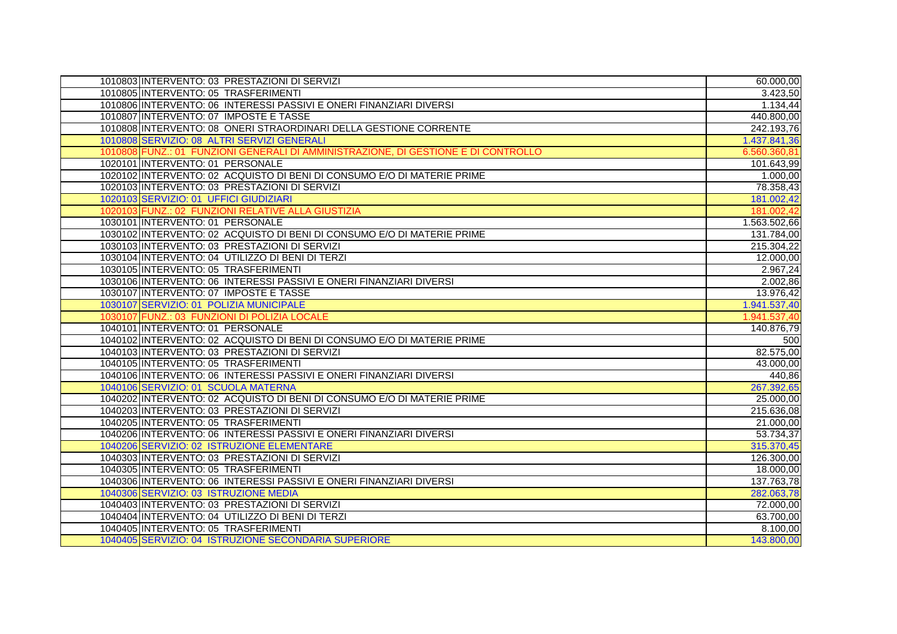| 1010803 INTERVENTO: 03 PRESTAZIONI DI SERVIZI                                      | 60.000,00    |
|------------------------------------------------------------------------------------|--------------|
| 1010805 INTERVENTO: 05 TRASFERIMENTI                                               | 3.423,50     |
| 1010806 INTERVENTO: 06 INTERESSI PASSIVI E ONERI FINANZIARI DIVERSI                | 1.134,44     |
| 1010807 INTERVENTO: 07 IMPOSTE E TASSE                                             | 440.800,00   |
| 1010808 INTERVENTO: 08 ONERI STRAORDINARI DELLA GESTIONE CORRENTE                  | 242.193,76   |
| 1010808 SERVIZIO: 08 ALTRI SERVIZI GENERALI                                        | 1.437.841,36 |
| 1010808 FUNZ.: 01 FUNZIONI GENERALI DI AMMINISTRAZIONE, DI GESTIONE E DI CONTROLLO | 6.560.360.81 |
| 1020101 INTERVENTO: 01 PERSONALE                                                   | 101.643,99   |
| 1020102 INTERVENTO: 02 ACQUISTO DI BENI DI CONSUMO E/O DI MATERIE PRIME            | 1.000,00     |
| 1020103 INTERVENTO: 03 PRESTAZIONI DI SERVIZI                                      | 78.358,43    |
| 1020103 SERVIZIO: 01 UFFICI GIUDIZIARI                                             | 181.002,42   |
| 1020103 FUNZ.: 02 FUNZIONI RELATIVE ALLA GIUSTIZIA                                 | 181.002,42   |
| 1030101 INTERVENTO: 01 PERSONALE                                                   | 1.563.502,66 |
| 1030102 INTERVENTO: 02 ACQUISTO DI BENI DI CONSUMO E/O DI MATERIE PRIME            | 131.784,00   |
| 1030103 INTERVENTO: 03 PRESTAZIONI DI SERVIZI                                      | 215.304,22   |
| 1030104 INTERVENTO: 04 UTILIZZO DI BENI DI TERZI                                   | 12.000,00    |
| 1030105 INTERVENTO: 05 TRASFERIMENTI                                               | 2.967,24     |
| 1030106 INTERVENTO: 06 INTERESSI PASSIVI E ONERI FINANZIARI DIVERSI                | 2.002,86     |
| 1030107 INTERVENTO: 07 IMPOSTE E TASSE                                             | 13.976,42    |
| 1030107 SERVIZIO: 01 POLIZIA MUNICIPALE                                            | 1.941.537,40 |
| 1030107 FUNZ.: 03 FUNZIONI DI POLIZIA LOCALE                                       | 1.941.537,40 |
| 1040101 INTERVENTO: 01 PERSONALE                                                   | 140.876,79   |
| 1040102 INTERVENTO: 02 ACQUISTO DI BENI DI CONSUMO E/O DI MATERIE PRIME            | 500          |
| 1040103 INTERVENTO: 03 PRESTAZIONI DI SERVIZI                                      | 82.575,00    |
| 1040105 INTERVENTO: 05 TRASFERIMENTI                                               | 43.000,00    |
| 1040106 INTERVENTO: 06 INTERESSI PASSIVI E ONERI FINANZIARI DIVERSI                | 440,86       |
| 1040106 SERVIZIO: 01 SCUOLA MATERNA                                                | 267.392,65   |
| 1040202 INTERVENTO: 02 ACQUISTO DI BENI DI CONSUMO E/O DI MATERIE PRIME            | 25.000,00    |
| 1040203 INTERVENTO: 03 PRESTAZIONI DI SERVIZI                                      | 215.636,08   |
| 1040205 INTERVENTO: 05 TRASFERIMENTI                                               | 21.000,00    |
| 1040206 INTERVENTO: 06 INTERESSI PASSIVI E ONERI FINANZIARI DIVERSI                | 53.734,37    |
| 1040206 SERVIZIO: 02 ISTRUZIONE ELEMENTARE                                         | 315.370,45   |
| 1040303 INTERVENTO: 03 PRESTAZIONI DI SERVIZI                                      | 126.300,00   |
| 1040305 INTERVENTO: 05 TRASFERIMENTI                                               | 18.000,00    |
| 1040306 INTERVENTO: 06 INTERESSI PASSIVI E ONERI FINANZIARI DIVERSI                | 137.763,78   |
| 1040306 SERVIZIO: 03 ISTRUZIONE MEDIA                                              | 282.063,78   |
| 1040403 INTERVENTO: 03 PRESTAZIONI DI SERVIZI                                      | 72.000,00    |
| 1040404 INTERVENTO: 04 UTILIZZO DI BENI DI TERZI                                   | 63.700,00    |
| 1040405 INTERVENTO: 05 TRASFERIMENTI                                               | 8.100,00     |
| 1040405 SERVIZIO: 04 ISTRUZIONE SECONDARIA SUPERIORE                               | 143.800,00   |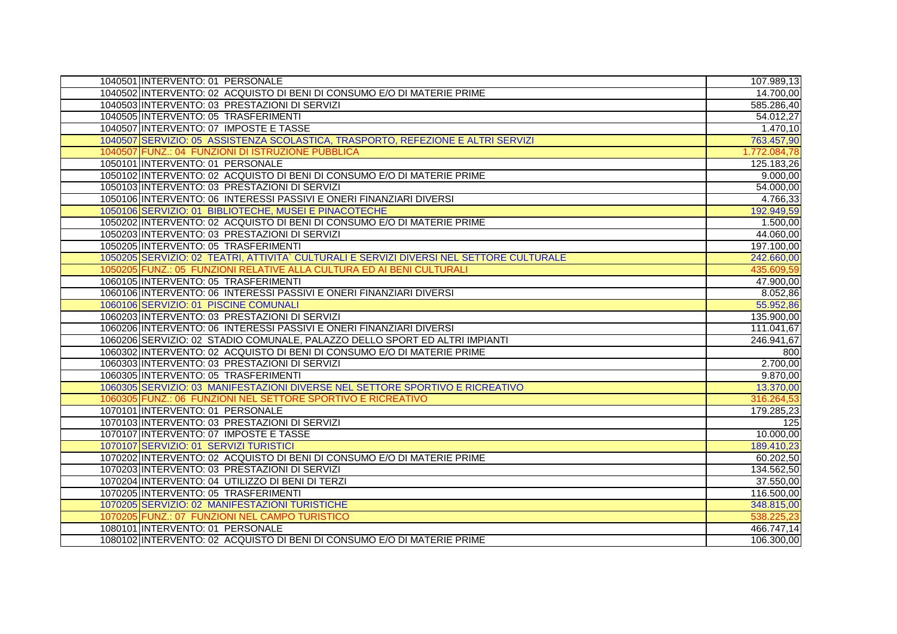| 1040501 INTERVENTO: 01 PERSONALE                                                         | 107.989,13   |
|------------------------------------------------------------------------------------------|--------------|
| 1040502 INTERVENTO: 02 ACQUISTO DI BENI DI CONSUMO E/O DI MATERIE PRIME                  | 14.700,00    |
| 1040503 INTERVENTO: 03 PRESTAZIONI DI SERVIZI                                            | 585.286,40   |
| 1040505 INTERVENTO: 05 TRASFERIMENTI                                                     | 54.012,27    |
| 1040507 INTERVENTO: 07 IMPOSTE E TASSE                                                   | 1.470,10     |
| 1040507 SERVIZIO: 05 ASSISTENZA SCOLASTICA, TRASPORTO, REFEZIONE E ALTRI SERVIZI         | 763.457,90   |
| 1040507 FUNZ.: 04 FUNZIONI DI ISTRUZIONE PUBBLICA                                        | 1.772.084,78 |
| 1050101 INTERVENTO: 01 PERSONALE                                                         | 125.183,26   |
| 1050102 INTERVENTO: 02 ACQUISTO DI BENI DI CONSUMO E/O DI MATERIE PRIME                  | 9.000,00     |
| 1050103 INTERVENTO: 03 PRESTAZIONI DI SERVIZI                                            | 54.000,00    |
| 1050106 INTERVENTO: 06 INTERESSI PASSIVI E ONERI FINANZIARI DIVERSI                      | 4.766,33     |
| 1050106 SERVIZIO: 01 BIBLIOTECHE, MUSEI E PINACOTECHE                                    | 192.949,59   |
| 1050202 INTERVENTO: 02 ACQUISTO DI BENI DI CONSUMO E/O DI MATERIE PRIME                  | 1.500,00     |
| 1050203 INTERVENTO: 03 PRESTAZIONI DI SERVIZI                                            | 44.060,00    |
| 1050205 INTERVENTO: 05 TRASFERIMENTI                                                     | 197.100,00   |
| 1050205 SERVIZIO: 02 TEATRI, ATTIVITA` CULTURALI E SERVIZI DIVERSI NEL SETTORE CULTURALE | 242.660,00   |
| 1050205 FUNZ.; 05 FUNZIONI RELATIVE ALLA CULTURA ED AI BENI CULTURALI                    | 435.609,59   |
| 1060105 INTERVENTO: 05 TRASFERIMENTI                                                     | 47.900,00    |
| 1060106 INTERVENTO: 06 INTERESSI PASSIVI E ONERI FINANZIARI DIVERSI                      | 8.052,86     |
| 1060106 SERVIZIO: 01 PISCINE COMUNALI                                                    | 55.952,86    |
| 1060203 INTERVENTO: 03 PRESTAZIONI DI SERVIZI                                            | 135.900,00   |
| 1060206 INTERVENTO: 06 INTERESSI PASSIVI E ONERI FINANZIARI DIVERSI                      | 111.041,67   |
| 1060206 SERVIZIO: 02 STADIO COMUNALE, PALAZZO DELLO SPORT ED ALTRI IMPIANTI              | 246.941,67   |
| 1060302 INTERVENTO: 02 ACQUISTO DI BENI DI CONSUMO E/O DI MATERIE PRIME                  | 800          |
| 1060303 INTERVENTO: 03 PRESTAZIONI DI SERVIZI                                            | 2.700,00     |
| 1060305 INTERVENTO: 05 TRASFERIMENTI                                                     | 9.870,00     |
| 1060305 SERVIZIO: 03 MANIFESTAZIONI DIVERSE NEL SETTORE SPORTIVO E RICREATIVO            | 13.370,00    |
| 1060305 FUNZ.: 06 FUNZIONI NEL SETTORE SPORTIVO E RICREATIVO                             | 316.264,53   |
| 1070101 INTERVENTO: 01 PERSONALE                                                         | 179.285,23   |
| 1070103 INTERVENTO: 03 PRESTAZIONI DI SERVIZI                                            | 125          |
| 1070107 INTERVENTO: 07 IMPOSTE E TASSE                                                   | 10.000,00    |
| 1070107 SERVIZIO: 01 SERVIZI TURISTICI                                                   | 189.410,23   |
| 1070202 INTERVENTO: 02 ACQUISTO DI BENI DI CONSUMO E/O DI MATERIE PRIME                  | 60.202,50    |
| 1070203 INTERVENTO: 03 PRESTAZIONI DI SERVIZI                                            | 134.562,50   |
| 1070204 INTERVENTO: 04 UTILIZZO DI BENI DI TERZI                                         | 37.550,00    |
| 1070205 INTERVENTO: 05 TRASFERIMENTI                                                     | 116.500,00   |
| 1070205 SERVIZIO: 02 MANIFESTAZIONI TURISTICHE                                           | 348.815,00   |
| 1070205 FUNZ.: 07 FUNZIONI NEL CAMPO TURISTICO                                           | 538.225,2    |
| 1080101 INTERVENTO: 01 PERSONALE                                                         | 466.747,14   |
| 1080102 INTERVENTO: 02 ACQUISTO DI BENI DI CONSUMO E/O DI MATERIE PRIME                  | 106.300,00   |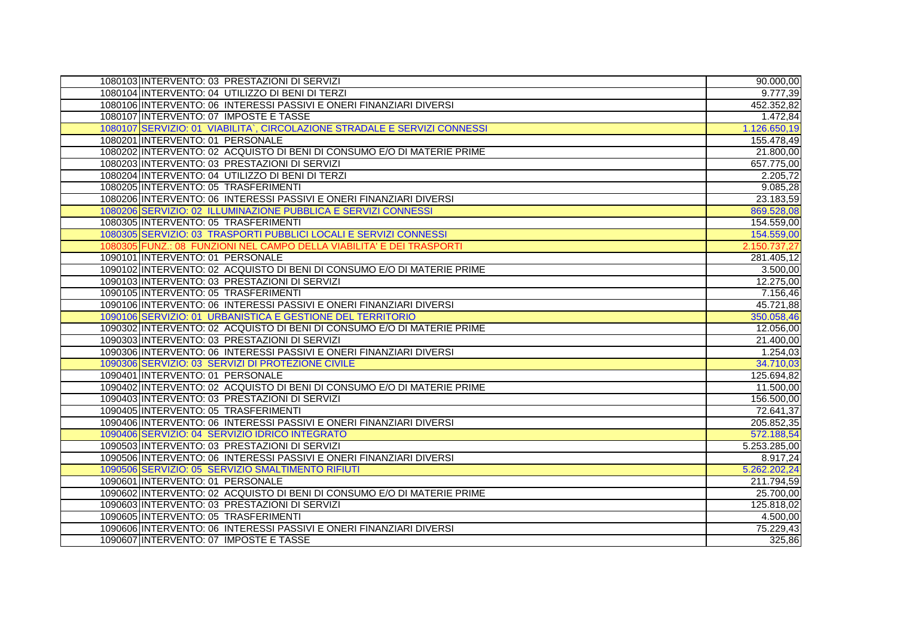| 1080103 INTERVENTO: 03 PRESTAZIONI DI SERVIZI                             | 90.000,00    |
|---------------------------------------------------------------------------|--------------|
| 1080104 INTERVENTO: 04 UTILIZZO DI BENI DI TERZI                          | 9.777,39     |
| 1080106 INTERVENTO: 06 INTERESSI PASSIVI E ONERI FINANZIARI DIVERSI       | 452.352,82   |
| 1080107 INTERVENTO: 07 IMPOSTE E TASSE                                    | 1.472,84     |
| 1080107 SERVIZIO: 01 VIABILITA`, CIRCOLAZIONE STRADALE E SERVIZI CONNESSI | 1.126.650,19 |
| 1080201 INTERVENTO: 01 PERSONALE                                          | 155.478,49   |
| 1080202 INTERVENTO: 02 ACQUISTO DI BENI DI CONSUMO E/O DI MATERIE PRIME   | 21.800,00    |
| 1080203 INTERVENTO: 03 PRESTAZIONI DI SERVIZI                             | 657.775,00   |
| 1080204 INTERVENTO: 04 UTILIZZO DI BENI DI TERZI                          | 2.205,72     |
| 1080205 INTERVENTO: 05 TRASFERIMENTI                                      | 9.085,28     |
| 1080206 INTERVENTO: 06 INTERESSI PASSIVI E ONERI FINANZIARI DIVERSI       | 23.183,59    |
| 1080206 SERVIZIO: 02 ILLUMINAZIONE PUBBLICA E SERVIZI CONNESSI            | 869.528,08   |
| 1080305 INTERVENTO: 05 TRASFERIMENTI                                      | 154.559,00   |
| 1080305 SERVIZIO: 03 TRASPORTI PUBBLICI LOCALI E SERVIZI CONNESSI         | 154.559,00   |
| 1080305 FUNZ.: 08 FUNZIONI NEL CAMPO DELLA VIABILITA' E DEI TRASPORTI     | 2.150.737,27 |
| 1090101 INTERVENTO: 01 PERSONALE                                          | 281.405,12   |
| 1090102 INTERVENTO: 02 ACQUISTO DI BENI DI CONSUMO E/O DI MATERIE PRIME   | 3.500,00     |
| 1090103 INTERVENTO: 03 PRESTAZIONI DI SERVIZI                             | 12.275,00    |
| 1090105 INTERVENTO: 05 TRASFERIMENTI                                      | 7.156,46     |
| 1090106 INTERVENTO: 06 INTERESSI PASSIVI E ONERI FINANZIARI DIVERSI       | 45.721,88    |
| 1090106 SERVIZIO: 01 URBANISTICA E GESTIONE DEL TERRITORIO                | 350.058,46   |
| 1090302 INTERVENTO: 02 ACQUISTO DI BENI DI CONSUMO E/O DI MATERIE PRIME   | 12.056,00    |
| 1090303 INTERVENTO: 03 PRESTAZIONI DI SERVIZI                             | 21.400,00    |
| 1090306 INTERVENTO: 06 INTERESSI PASSIVI E ONERI FINANZIARI DIVERSI       | 1.254,03     |
| 1090306 SERVIZIO: 03 SERVIZI DI PROTEZIONE CIVILE                         | 34.710,03    |
| 1090401 INTERVENTO: 01 PERSONALE                                          | 125.694,82   |
| 1090402 INTERVENTO: 02 ACQUISTO DI BENI DI CONSUMO E/O DI MATERIE PRIME   | 11.500,00    |
| 1090403 INTERVENTO: 03 PRESTAZIONI DI SERVIZI                             | 156.500,00   |
| 1090405 INTERVENTO: 05 TRASFERIMENTI                                      | 72.641,37    |
| 1090406 INTERVENTO: 06 INTERESSI PASSIVI E ONERI FINANZIARI DIVERSI       | 205.852,35   |
| 1090406 SERVIZIO: 04 SERVIZIO IDRICO INTEGRATO                            | 572.188,54   |
| 1090503 INTERVENTO: 03 PRESTAZIONI DI SERVIZI                             | 5.253.285,00 |
| 1090506 INTERVENTO: 06 INTERESSI PASSIVI E ONERI FINANZIARI DIVERSI       | 8.917,24     |
| 1090506 SERVIZIO: 05 SERVIZIO SMALTIMENTO RIFIUTI                         | 5.262.202,24 |
| 1090601 INTERVENTO: 01 PERSONALE                                          | 211.794,59   |
| 1090602 INTERVENTO: 02 ACQUISTO DI BENI DI CONSUMO E/O DI MATERIE PRIME   | 25.700,00    |
| 1090603 INTERVENTO: 03 PRESTAZIONI DI SERVIZI                             | 125.818,02   |
| 1090605 INTERVENTO: 05 TRASFERIMENTI                                      | 4.500,00     |
| 1090606 INTERVENTO: 06 INTERESSI PASSIVI E ONERI FINANZIARI DIVERSI       | 75.229,43    |
| 1090607 INTERVENTO: 07 IMPOSTE E TASSE                                    | 325,86       |